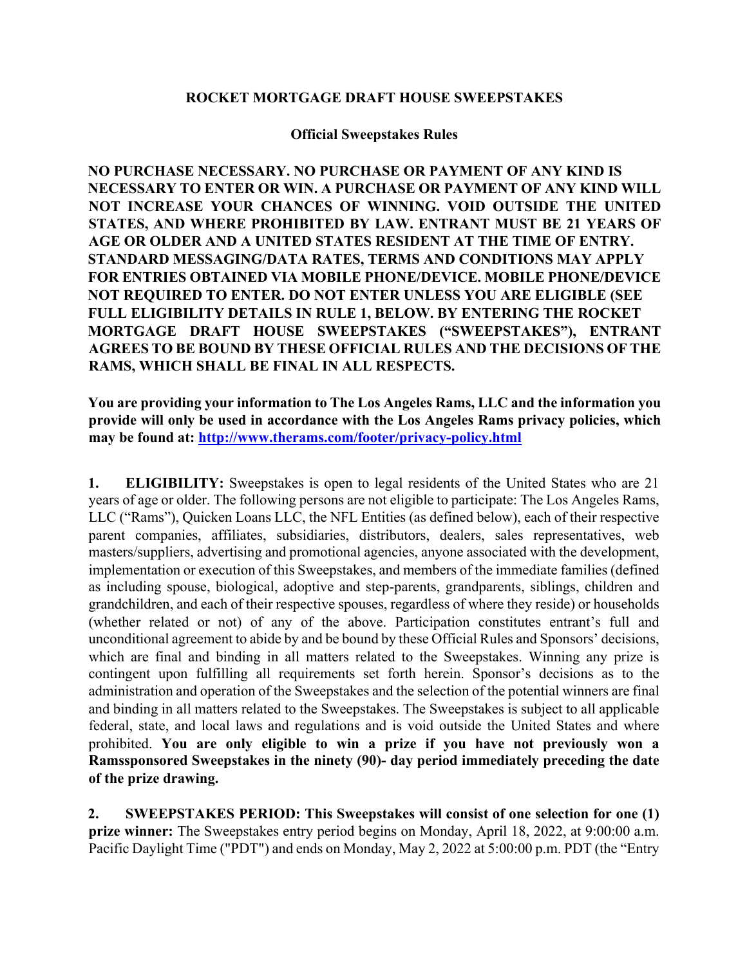## **ROCKET MORTGAGE DRAFT HOUSE SWEEPSTAKES**

## **Official Sweepstakes Rules**

**NO PURCHASE NECESSARY. NO PURCHASE OR PAYMENT OF ANY KIND IS NECESSARY TO ENTER OR WIN. A PURCHASE OR PAYMENT OF ANY KIND WILL NOT INCREASE YOUR CHANCES OF WINNING. VOID OUTSIDE THE UNITED STATES, AND WHERE PROHIBITED BY LAW. ENTRANT MUST BE 21 YEARS OF AGE OR OLDER AND A UNITED STATES RESIDENT AT THE TIME OF ENTRY. STANDARD MESSAGING/DATA RATES, TERMS AND CONDITIONS MAY APPLY FOR ENTRIES OBTAINED VIA MOBILE PHONE/DEVICE. MOBILE PHONE/DEVICE NOT REQUIRED TO ENTER. DO NOT ENTER UNLESS YOU ARE ELIGIBLE (SEE FULL ELIGIBILITY DETAILS IN RULE 1, BELOW. BY ENTERING THE ROCKET MORTGAGE DRAFT HOUSE SWEEPSTAKES ("SWEEPSTAKES"), ENTRANT AGREES TO BE BOUND BY THESE OFFICIAL RULES AND THE DECISIONS OF THE RAMS, WHICH SHALL BE FINAL IN ALL RESPECTS.** 

**You are providing your information to The Los Angeles Rams, LLC and the information you provide will only be used in accordance with the Los Angeles Rams privacy policies, which may be found at: http://www.therams.com/footer/privacy-policy.html**

**1. ELIGIBILITY:** Sweepstakes is open to legal residents of the United States who are 21 years of age or older. The following persons are not eligible to participate: The Los Angeles Rams, LLC ("Rams"), Quicken Loans LLC, the NFL Entities (as defined below), each of their respective parent companies, affiliates, subsidiaries, distributors, dealers, sales representatives, web masters/suppliers, advertising and promotional agencies, anyone associated with the development, implementation or execution of this Sweepstakes, and members of the immediate families (defined as including spouse, biological, adoptive and step-parents, grandparents, siblings, children and grandchildren, and each of their respective spouses, regardless of where they reside) or households (whether related or not) of any of the above. Participation constitutes entrant's full and unconditional agreement to abide by and be bound by these Official Rules and Sponsors' decisions, which are final and binding in all matters related to the Sweepstakes. Winning any prize is contingent upon fulfilling all requirements set forth herein. Sponsor's decisions as to the administration and operation of the Sweepstakes and the selection of the potential winners are final and binding in all matters related to the Sweepstakes. The Sweepstakes is subject to all applicable federal, state, and local laws and regulations and is void outside the United States and where prohibited. **You are only eligible to win a prize if you have not previously won a Ramssponsored Sweepstakes in the ninety (90)- day period immediately preceding the date of the prize drawing.** 

**2. SWEEPSTAKES PERIOD: This Sweepstakes will consist of one selection for one (1) prize winner:** The Sweepstakes entry period begins on Monday, April 18, 2022, at 9:00:00 a.m. Pacific Daylight Time ("PDT") and ends on Monday, May 2, 2022 at 5:00:00 p.m. PDT (the "Entry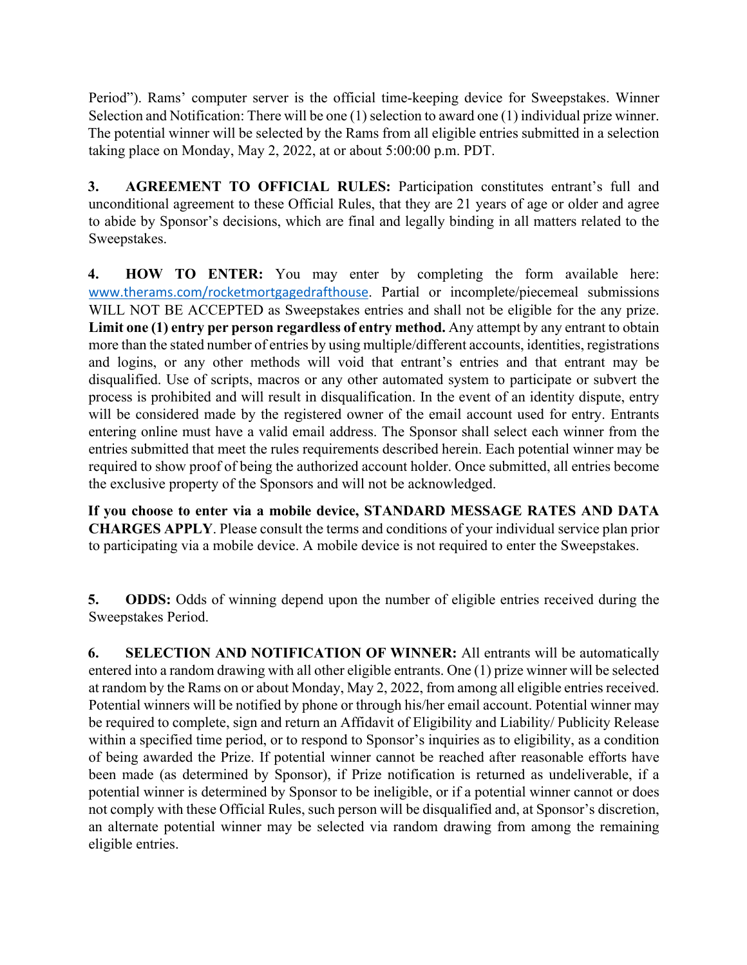Period"). Rams' computer server is the official time-keeping device for Sweepstakes. Winner Selection and Notification: There will be one (1) selection to award one (1) individual prize winner. The potential winner will be selected by the Rams from all eligible entries submitted in a selection taking place on Monday, May 2, 2022, at or about 5:00:00 p.m. PDT.

**3. AGREEMENT TO OFFICIAL RULES:** Participation constitutes entrant's full and unconditional agreement to these Official Rules, that they are 21 years of age or older and agree to abide by Sponsor's decisions, which are final and legally binding in all matters related to the Sweepstakes.

**4. HOW TO ENTER:** You may enter by completing the form available here: www.therams.com/rocketmortgagedrafthouse. Partial or incomplete/piecemeal submissions WILL NOT BE ACCEPTED as Sweepstakes entries and shall not be eligible for the any prize. Limit one (1) entry per person regardless of entry method. Any attempt by any entrant to obtain more than the stated number of entries by using multiple/different accounts, identities, registrations and logins, or any other methods will void that entrant's entries and that entrant may be disqualified. Use of scripts, macros or any other automated system to participate or subvert the process is prohibited and will result in disqualification. In the event of an identity dispute, entry will be considered made by the registered owner of the email account used for entry. Entrants entering online must have a valid email address. The Sponsor shall select each winner from the entries submitted that meet the rules requirements described herein. Each potential winner may be required to show proof of being the authorized account holder. Once submitted, all entries become the exclusive property of the Sponsors and will not be acknowledged.

**If you choose to enter via a mobile device, STANDARD MESSAGE RATES AND DATA CHARGES APPLY**. Please consult the terms and conditions of your individual service plan prior to participating via a mobile device. A mobile device is not required to enter the Sweepstakes.

**5. ODDS:** Odds of winning depend upon the number of eligible entries received during the Sweepstakes Period.

**6. SELECTION AND NOTIFICATION OF WINNER:** All entrants will be automatically entered into a random drawing with all other eligible entrants. One (1) prize winner will be selected at random by the Rams on or about Monday, May 2, 2022, from among all eligible entries received. Potential winners will be notified by phone or through his/her email account. Potential winner may be required to complete, sign and return an Affidavit of Eligibility and Liability/ Publicity Release within a specified time period, or to respond to Sponsor's inquiries as to eligibility, as a condition of being awarded the Prize. If potential winner cannot be reached after reasonable efforts have been made (as determined by Sponsor), if Prize notification is returned as undeliverable, if a potential winner is determined by Sponsor to be ineligible, or if a potential winner cannot or does not comply with these Official Rules, such person will be disqualified and, at Sponsor's discretion, an alternate potential winner may be selected via random drawing from among the remaining eligible entries.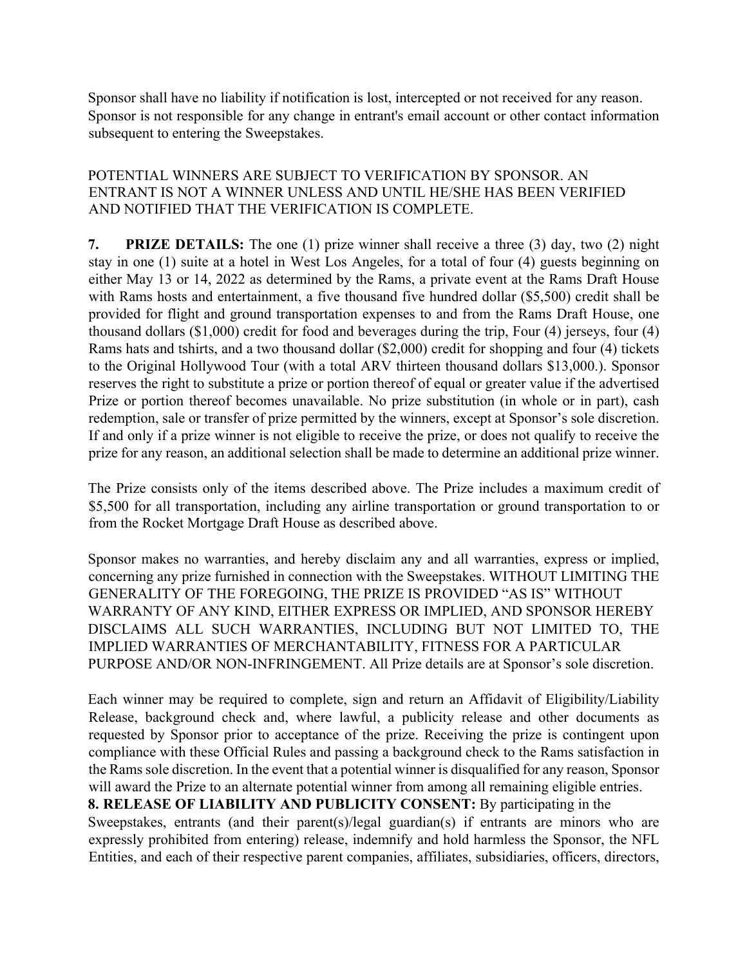Sponsor shall have no liability if notification is lost, intercepted or not received for any reason. Sponsor is not responsible for any change in entrant's email account or other contact information subsequent to entering the Sweepstakes.

## POTENTIAL WINNERS ARE SUBJECT TO VERIFICATION BY SPONSOR. AN ENTRANT IS NOT A WINNER UNLESS AND UNTIL HE/SHE HAS BEEN VERIFIED AND NOTIFIED THAT THE VERIFICATION IS COMPLETE.

**7. PRIZE DETAILS:** The one (1) prize winner shall receive a three (3) day, two (2) night stay in one (1) suite at a hotel in West Los Angeles, for a total of four (4) guests beginning on either May 13 or 14, 2022 as determined by the Rams, a private event at the Rams Draft House with Rams hosts and entertainment, a five thousand five hundred dollar (\$5,500) credit shall be provided for flight and ground transportation expenses to and from the Rams Draft House, one thousand dollars (\$1,000) credit for food and beverages during the trip, Four (4) jerseys, four (4) Rams hats and tshirts, and a two thousand dollar (\$2,000) credit for shopping and four (4) tickets to the Original Hollywood Tour (with a total ARV thirteen thousand dollars \$13,000.). Sponsor reserves the right to substitute a prize or portion thereof of equal or greater value if the advertised Prize or portion thereof becomes unavailable. No prize substitution (in whole or in part), cash redemption, sale or transfer of prize permitted by the winners, except at Sponsor's sole discretion. If and only if a prize winner is not eligible to receive the prize, or does not qualify to receive the prize for any reason, an additional selection shall be made to determine an additional prize winner.

The Prize consists only of the items described above. The Prize includes a maximum credit of \$5,500 for all transportation, including any airline transportation or ground transportation to or from the Rocket Mortgage Draft House as described above.

Sponsor makes no warranties, and hereby disclaim any and all warranties, express or implied, concerning any prize furnished in connection with the Sweepstakes. WITHOUT LIMITING THE GENERALITY OF THE FOREGOING, THE PRIZE IS PROVIDED "AS IS" WITHOUT WARRANTY OF ANY KIND, EITHER EXPRESS OR IMPLIED, AND SPONSOR HEREBY DISCLAIMS ALL SUCH WARRANTIES, INCLUDING BUT NOT LIMITED TO, THE IMPLIED WARRANTIES OF MERCHANTABILITY, FITNESS FOR A PARTICULAR PURPOSE AND/OR NON-INFRINGEMENT. All Prize details are at Sponsor's sole discretion.

Each winner may be required to complete, sign and return an Affidavit of Eligibility/Liability Release, background check and, where lawful, a publicity release and other documents as requested by Sponsor prior to acceptance of the prize. Receiving the prize is contingent upon compliance with these Official Rules and passing a background check to the Rams satisfaction in the Rams sole discretion. In the event that a potential winner is disqualified for any reason, Sponsor will award the Prize to an alternate potential winner from among all remaining eligible entries. **8. RELEASE OF LIABILITY AND PUBLICITY CONSENT:** By participating in the Sweepstakes, entrants (and their parent(s)/legal guardian(s) if entrants are minors who are expressly prohibited from entering) release, indemnify and hold harmless the Sponsor, the NFL Entities, and each of their respective parent companies, affiliates, subsidiaries, officers, directors,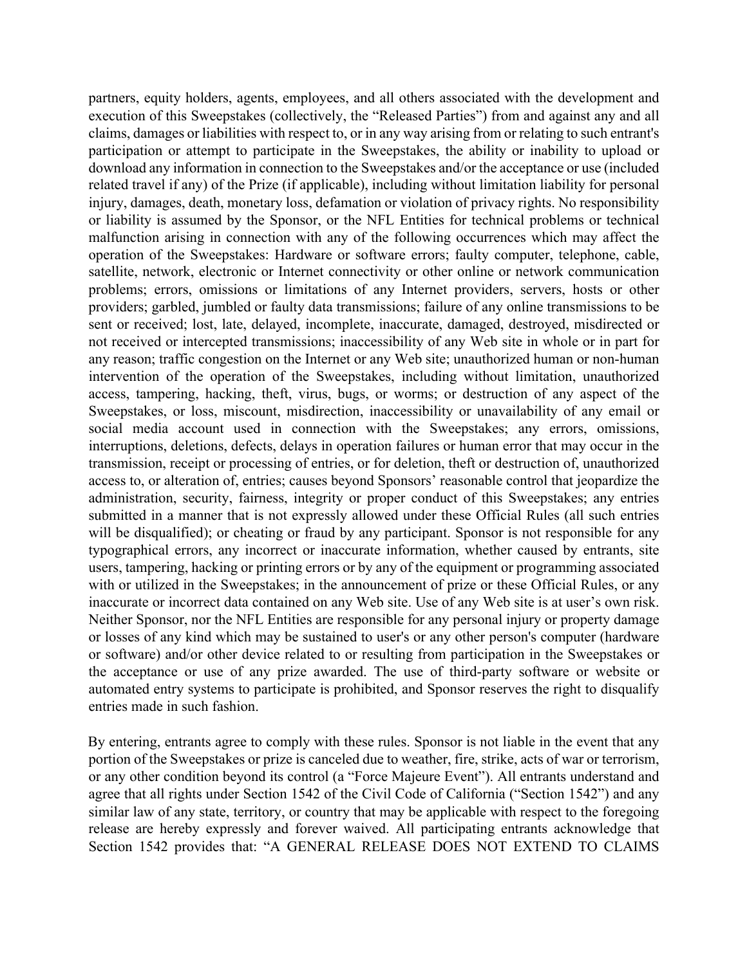partners, equity holders, agents, employees, and all others associated with the development and execution of this Sweepstakes (collectively, the "Released Parties") from and against any and all claims, damages or liabilities with respect to, or in any way arising from or relating to such entrant's participation or attempt to participate in the Sweepstakes, the ability or inability to upload or download any information in connection to the Sweepstakes and/or the acceptance or use (included related travel if any) of the Prize (if applicable), including without limitation liability for personal injury, damages, death, monetary loss, defamation or violation of privacy rights. No responsibility or liability is assumed by the Sponsor, or the NFL Entities for technical problems or technical malfunction arising in connection with any of the following occurrences which may affect the operation of the Sweepstakes: Hardware or software errors; faulty computer, telephone, cable, satellite, network, electronic or Internet connectivity or other online or network communication problems; errors, omissions or limitations of any Internet providers, servers, hosts or other providers; garbled, jumbled or faulty data transmissions; failure of any online transmissions to be sent or received; lost, late, delayed, incomplete, inaccurate, damaged, destroyed, misdirected or not received or intercepted transmissions; inaccessibility of any Web site in whole or in part for any reason; traffic congestion on the Internet or any Web site; unauthorized human or non-human intervention of the operation of the Sweepstakes, including without limitation, unauthorized access, tampering, hacking, theft, virus, bugs, or worms; or destruction of any aspect of the Sweepstakes, or loss, miscount, misdirection, inaccessibility or unavailability of any email or social media account used in connection with the Sweepstakes; any errors, omissions, interruptions, deletions, defects, delays in operation failures or human error that may occur in the transmission, receipt or processing of entries, or for deletion, theft or destruction of, unauthorized access to, or alteration of, entries; causes beyond Sponsors' reasonable control that jeopardize the administration, security, fairness, integrity or proper conduct of this Sweepstakes; any entries submitted in a manner that is not expressly allowed under these Official Rules (all such entries will be disqualified); or cheating or fraud by any participant. Sponsor is not responsible for any typographical errors, any incorrect or inaccurate information, whether caused by entrants, site users, tampering, hacking or printing errors or by any of the equipment or programming associated with or utilized in the Sweepstakes; in the announcement of prize or these Official Rules, or any inaccurate or incorrect data contained on any Web site. Use of any Web site is at user's own risk. Neither Sponsor, nor the NFL Entities are responsible for any personal injury or property damage or losses of any kind which may be sustained to user's or any other person's computer (hardware or software) and/or other device related to or resulting from participation in the Sweepstakes or the acceptance or use of any prize awarded. The use of third-party software or website or automated entry systems to participate is prohibited, and Sponsor reserves the right to disqualify entries made in such fashion.

By entering, entrants agree to comply with these rules. Sponsor is not liable in the event that any portion of the Sweepstakes or prize is canceled due to weather, fire, strike, acts of war or terrorism, or any other condition beyond its control (a "Force Majeure Event"). All entrants understand and agree that all rights under Section 1542 of the Civil Code of California ("Section 1542") and any similar law of any state, territory, or country that may be applicable with respect to the foregoing release are hereby expressly and forever waived. All participating entrants acknowledge that Section 1542 provides that: "A GENERAL RELEASE DOES NOT EXTEND TO CLAIMS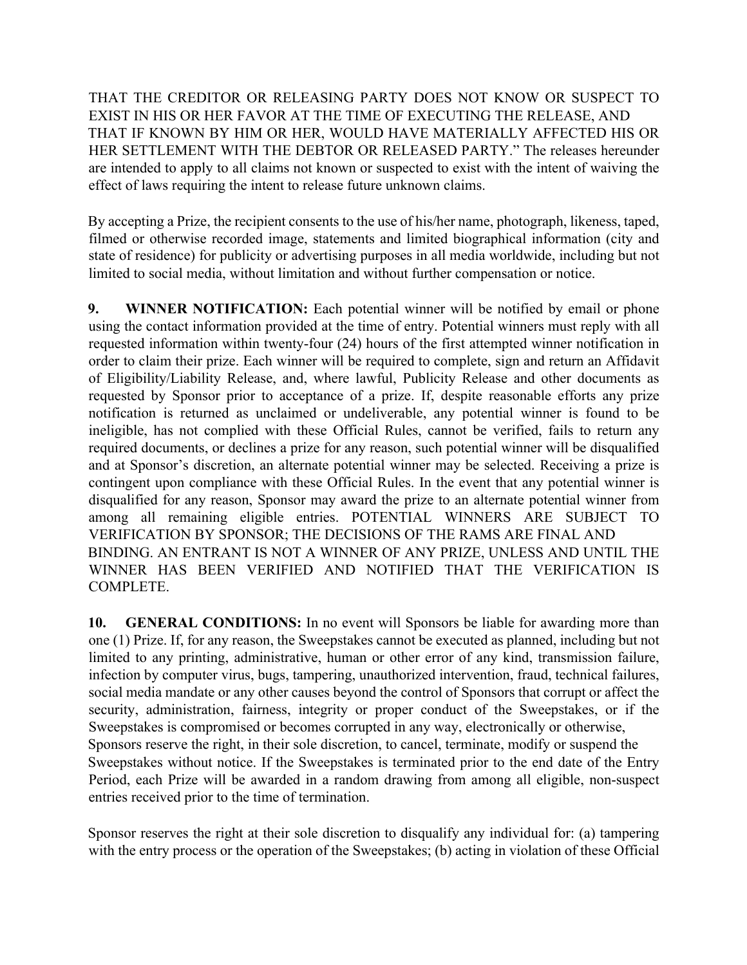THAT THE CREDITOR OR RELEASING PARTY DOES NOT KNOW OR SUSPECT TO EXIST IN HIS OR HER FAVOR AT THE TIME OF EXECUTING THE RELEASE, AND THAT IF KNOWN BY HIM OR HER, WOULD HAVE MATERIALLY AFFECTED HIS OR HER SETTLEMENT WITH THE DEBTOR OR RELEASED PARTY." The releases hereunder are intended to apply to all claims not known or suspected to exist with the intent of waiving the effect of laws requiring the intent to release future unknown claims.

By accepting a Prize, the recipient consents to the use of his/her name, photograph, likeness, taped, filmed or otherwise recorded image, statements and limited biographical information (city and state of residence) for publicity or advertising purposes in all media worldwide, including but not limited to social media, without limitation and without further compensation or notice.

**9. WINNER NOTIFICATION:** Each potential winner will be notified by email or phone using the contact information provided at the time of entry. Potential winners must reply with all requested information within twenty-four (24) hours of the first attempted winner notification in order to claim their prize. Each winner will be required to complete, sign and return an Affidavit of Eligibility/Liability Release, and, where lawful, Publicity Release and other documents as requested by Sponsor prior to acceptance of a prize. If, despite reasonable efforts any prize notification is returned as unclaimed or undeliverable, any potential winner is found to be ineligible, has not complied with these Official Rules, cannot be verified, fails to return any required documents, or declines a prize for any reason, such potential winner will be disqualified and at Sponsor's discretion, an alternate potential winner may be selected. Receiving a prize is contingent upon compliance with these Official Rules. In the event that any potential winner is disqualified for any reason, Sponsor may award the prize to an alternate potential winner from among all remaining eligible entries. POTENTIAL WINNERS ARE SUBJECT TO VERIFICATION BY SPONSOR; THE DECISIONS OF THE RAMS ARE FINAL AND BINDING. AN ENTRANT IS NOT A WINNER OF ANY PRIZE, UNLESS AND UNTIL THE WINNER HAS BEEN VERIFIED AND NOTIFIED THAT THE VERIFICATION IS COMPLETE.

**10. GENERAL CONDITIONS:** In no event will Sponsors be liable for awarding more than one (1) Prize. If, for any reason, the Sweepstakes cannot be executed as planned, including but not limited to any printing, administrative, human or other error of any kind, transmission failure, infection by computer virus, bugs, tampering, unauthorized intervention, fraud, technical failures, social media mandate or any other causes beyond the control of Sponsors that corrupt or affect the security, administration, fairness, integrity or proper conduct of the Sweepstakes, or if the Sweepstakes is compromised or becomes corrupted in any way, electronically or otherwise, Sponsors reserve the right, in their sole discretion, to cancel, terminate, modify or suspend the Sweepstakes without notice. If the Sweepstakes is terminated prior to the end date of the Entry Period, each Prize will be awarded in a random drawing from among all eligible, non-suspect entries received prior to the time of termination.

Sponsor reserves the right at their sole discretion to disqualify any individual for: (a) tampering with the entry process or the operation of the Sweepstakes; (b) acting in violation of these Official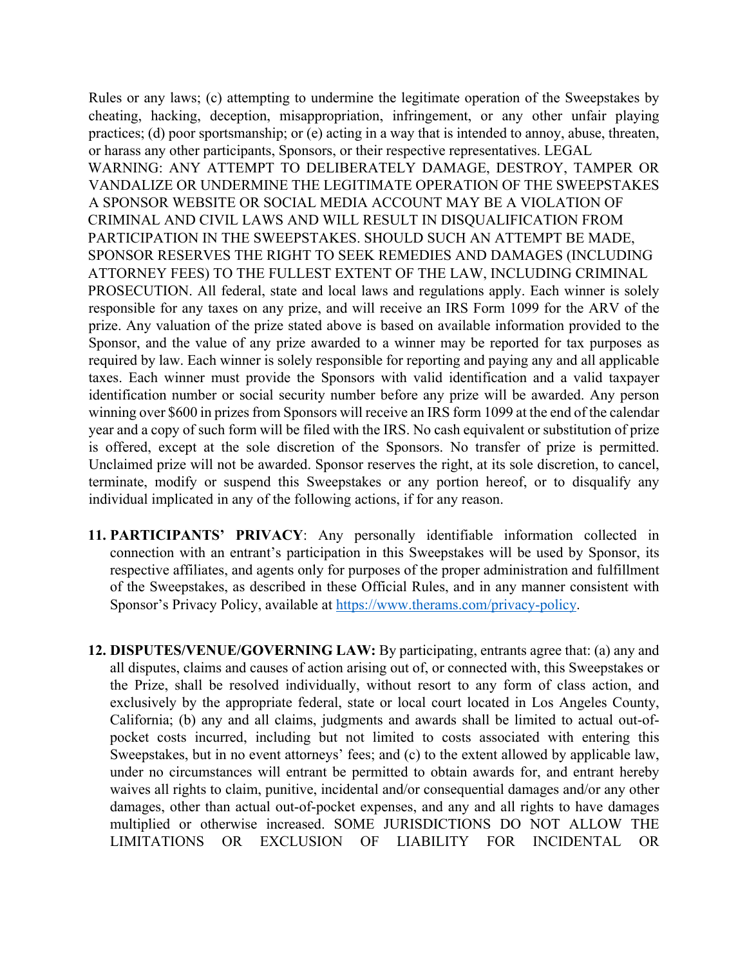Rules or any laws; (c) attempting to undermine the legitimate operation of the Sweepstakes by cheating, hacking, deception, misappropriation, infringement, or any other unfair playing practices; (d) poor sportsmanship; or (e) acting in a way that is intended to annoy, abuse, threaten, or harass any other participants, Sponsors, or their respective representatives. LEGAL WARNING: ANY ATTEMPT TO DELIBERATELY DAMAGE, DESTROY, TAMPER OR VANDALIZE OR UNDERMINE THE LEGITIMATE OPERATION OF THE SWEEPSTAKES A SPONSOR WEBSITE OR SOCIAL MEDIA ACCOUNT MAY BE A VIOLATION OF CRIMINAL AND CIVIL LAWS AND WILL RESULT IN DISQUALIFICATION FROM PARTICIPATION IN THE SWEEPSTAKES. SHOULD SUCH AN ATTEMPT BE MADE, SPONSOR RESERVES THE RIGHT TO SEEK REMEDIES AND DAMAGES (INCLUDING ATTORNEY FEES) TO THE FULLEST EXTENT OF THE LAW, INCLUDING CRIMINAL PROSECUTION. All federal, state and local laws and regulations apply. Each winner is solely responsible for any taxes on any prize, and will receive an IRS Form 1099 for the ARV of the prize. Any valuation of the prize stated above is based on available information provided to the Sponsor, and the value of any prize awarded to a winner may be reported for tax purposes as required by law. Each winner is solely responsible for reporting and paying any and all applicable taxes. Each winner must provide the Sponsors with valid identification and a valid taxpayer identification number or social security number before any prize will be awarded. Any person winning over \$600 in prizes from Sponsors will receive an IRS form 1099 at the end of the calendar year and a copy of such form will be filed with the IRS. No cash equivalent or substitution of prize is offered, except at the sole discretion of the Sponsors. No transfer of prize is permitted. Unclaimed prize will not be awarded. Sponsor reserves the right, at its sole discretion, to cancel, terminate, modify or suspend this Sweepstakes or any portion hereof, or to disqualify any individual implicated in any of the following actions, if for any reason.

- **11. PARTICIPANTS' PRIVACY**: Any personally identifiable information collected in connection with an entrant's participation in this Sweepstakes will be used by Sponsor, its respective affiliates, and agents only for purposes of the proper administration and fulfillment of the Sweepstakes, as described in these Official Rules, and in any manner consistent with Sponsor's Privacy Policy, available at https://www.therams.com/privacy-policy.
- **12. DISPUTES/VENUE/GOVERNING LAW:** By participating, entrants agree that: (a) any and all disputes, claims and causes of action arising out of, or connected with, this Sweepstakes or the Prize, shall be resolved individually, without resort to any form of class action, and exclusively by the appropriate federal, state or local court located in Los Angeles County, California; (b) any and all claims, judgments and awards shall be limited to actual out-ofpocket costs incurred, including but not limited to costs associated with entering this Sweepstakes, but in no event attorneys' fees; and (c) to the extent allowed by applicable law, under no circumstances will entrant be permitted to obtain awards for, and entrant hereby waives all rights to claim, punitive, incidental and/or consequential damages and/or any other damages, other than actual out-of-pocket expenses, and any and all rights to have damages multiplied or otherwise increased. SOME JURISDICTIONS DO NOT ALLOW THE LIMITATIONS OR EXCLUSION OF LIABILITY FOR INCIDENTAL OR